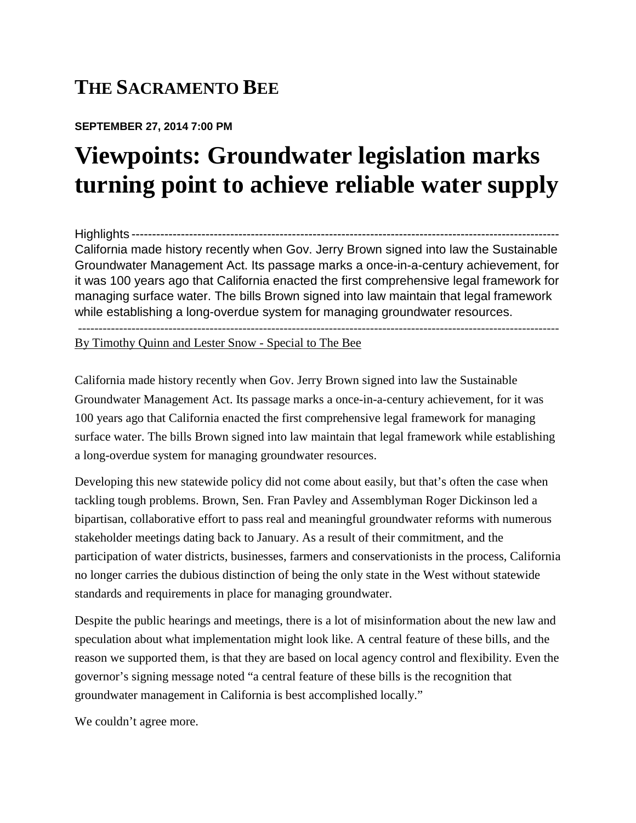## **THE SACRAMENTO BEE**

## **SEPTEMBER 27, 2014 7:00 PM**

## **Viewpoints: Groundwater legislation marks turning point to achieve reliable water supply**

Highlights -------------------------------------------------------------------------------------------------------- California made history recently when Gov. Jerry Brown signed into law the Sustainable Groundwater Management Act. Its passage marks a once-in-a-century achievement, for it was 100 years ago that California enacted the first comprehensive legal framework for managing surface water. The bills Brown signed into law maintain that legal framework while establishing a long-overdue system for managing groundwater resources.

---------------------------------------------------------------------------------------------------------------------

By Timothy Quinn and Lester Snow - Special to The Bee

California made history recently when Gov. Jerry Brown signed into law the Sustainable Groundwater Management Act. Its passage marks a once-in-a-century achievement, for it was 100 years ago that California enacted the first comprehensive legal framework for managing surface water. The bills Brown signed into law maintain that legal framework while establishing a long-overdue system for managing groundwater resources.

Developing this new statewide policy did not come about easily, but that's often the case when tackling tough problems. Brown, Sen. Fran Pavley and Assemblyman Roger Dickinson led a bipartisan, collaborative effort to pass real and meaningful groundwater reforms with numerous stakeholder meetings dating back to January. As a result of their commitment, and the participation of water districts, businesses, farmers and conservationists in the process, California no longer carries the dubious distinction of being the only state in the West without statewide standards and requirements in place for managing groundwater.

Despite the public hearings and meetings, there is a lot of misinformation about the new law and speculation about what implementation might look like. A central feature of these bills, and the reason we supported them, is that they are based on local agency control and flexibility. Even the governor's signing message noted "a central feature of these bills is the recognition that groundwater management in California is best accomplished locally."

We couldn't agree more.